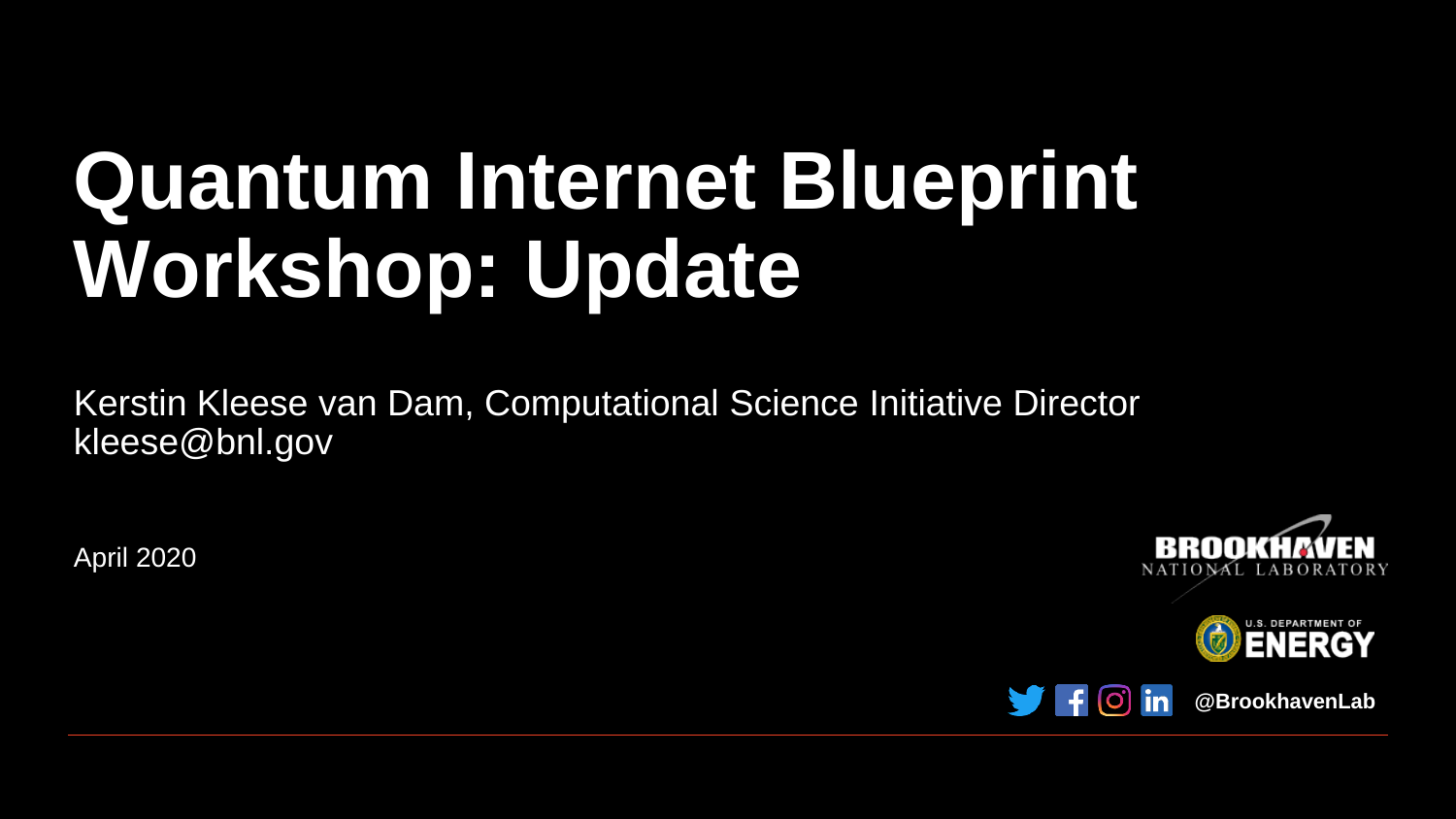## **Quantum Internet Blueprint Workshop: Update**

Kerstin Kleese van Dam, Computational Science Initiative Director kleese@bnl.gov

April 2020







**@BrookhavenLab**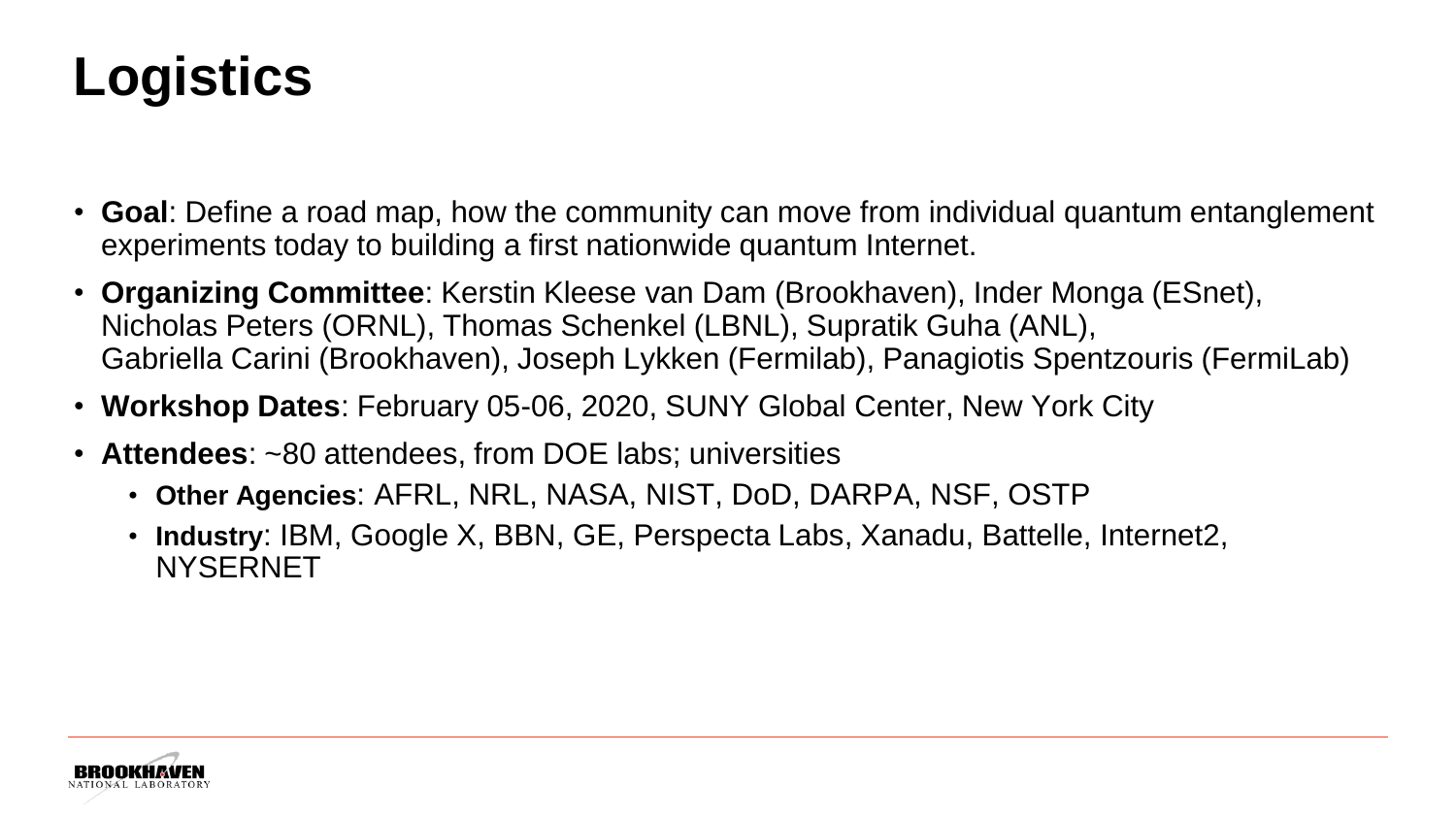## **Logistics**

- **Goal**: Define a road map, how the community can move from individual quantum entanglement experiments today to building a first nationwide quantum Internet.
- **Organizing Committee**: Kerstin Kleese van Dam (Brookhaven), Inder Monga (ESnet), Nicholas Peters (ORNL), Thomas Schenkel (LBNL), Supratik Guha (ANL), Gabriella Carini (Brookhaven), Joseph Lykken (Fermilab), Panagiotis Spentzouris (FermiLab)
- **Workshop Dates**: February 05-06, 2020, SUNY Global Center, New York City
- **Attendees**: ~80 attendees, from DOE labs; universities
	- **Other Agencies**: AFRL, NRL, NASA, NIST, DoD, DARPA, NSF, OSTP
	- **Industry**: IBM, Google X, BBN, GE, Perspecta Labs, Xanadu, Battelle, Internet2, NYSERNET

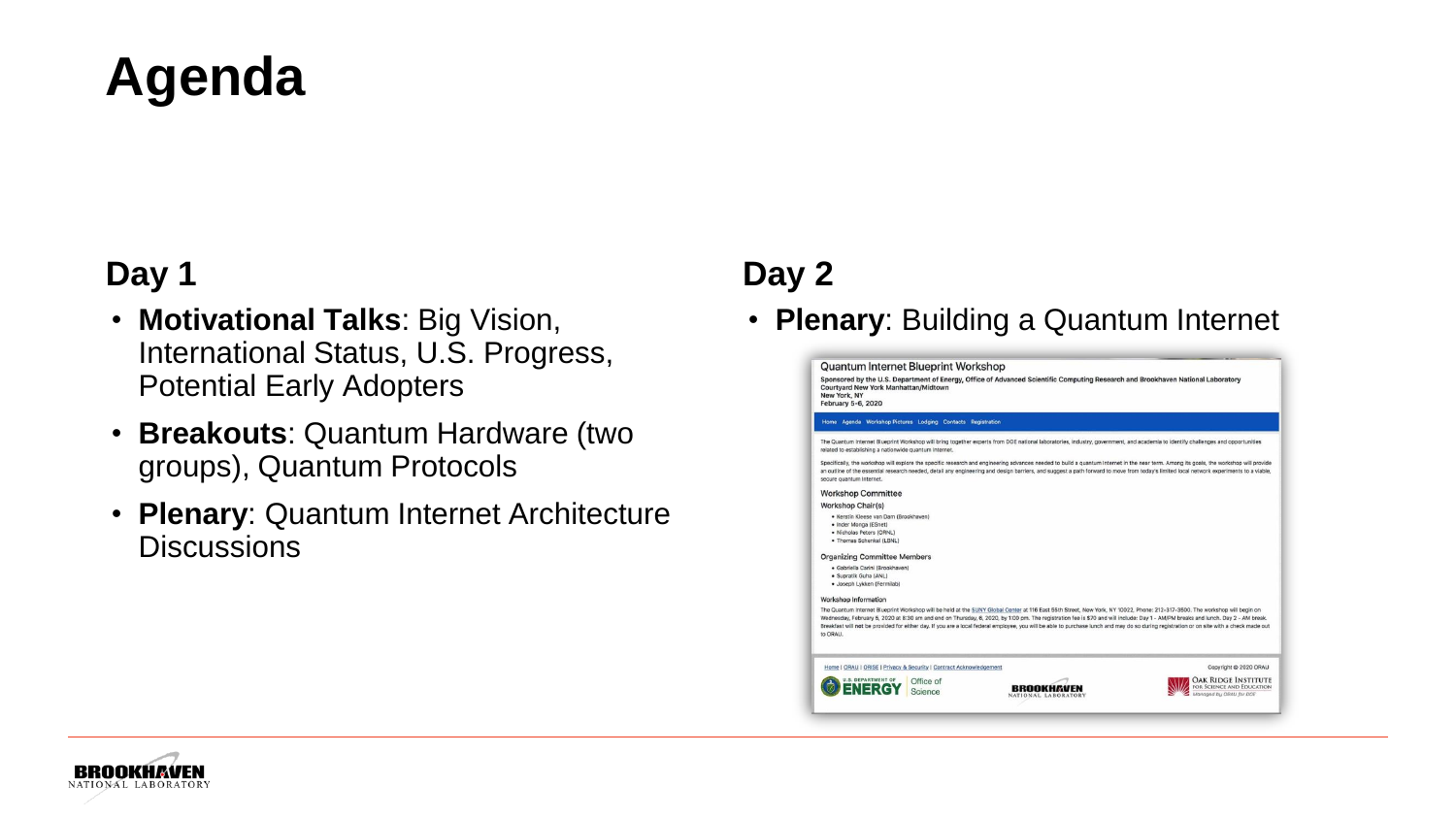### **Agenda**

#### **Day 1**

- **Motivational Talks**: Big Vision, International Status, U.S. Progress, Potential Early Adopters
- **Breakouts**: Quantum Hardware (two groups), Quantum Protocols
- **Plenary**: Quantum Internet Architecture **Discussions**

#### **Day 2**

• **Plenary**: Building a Quantum Internet



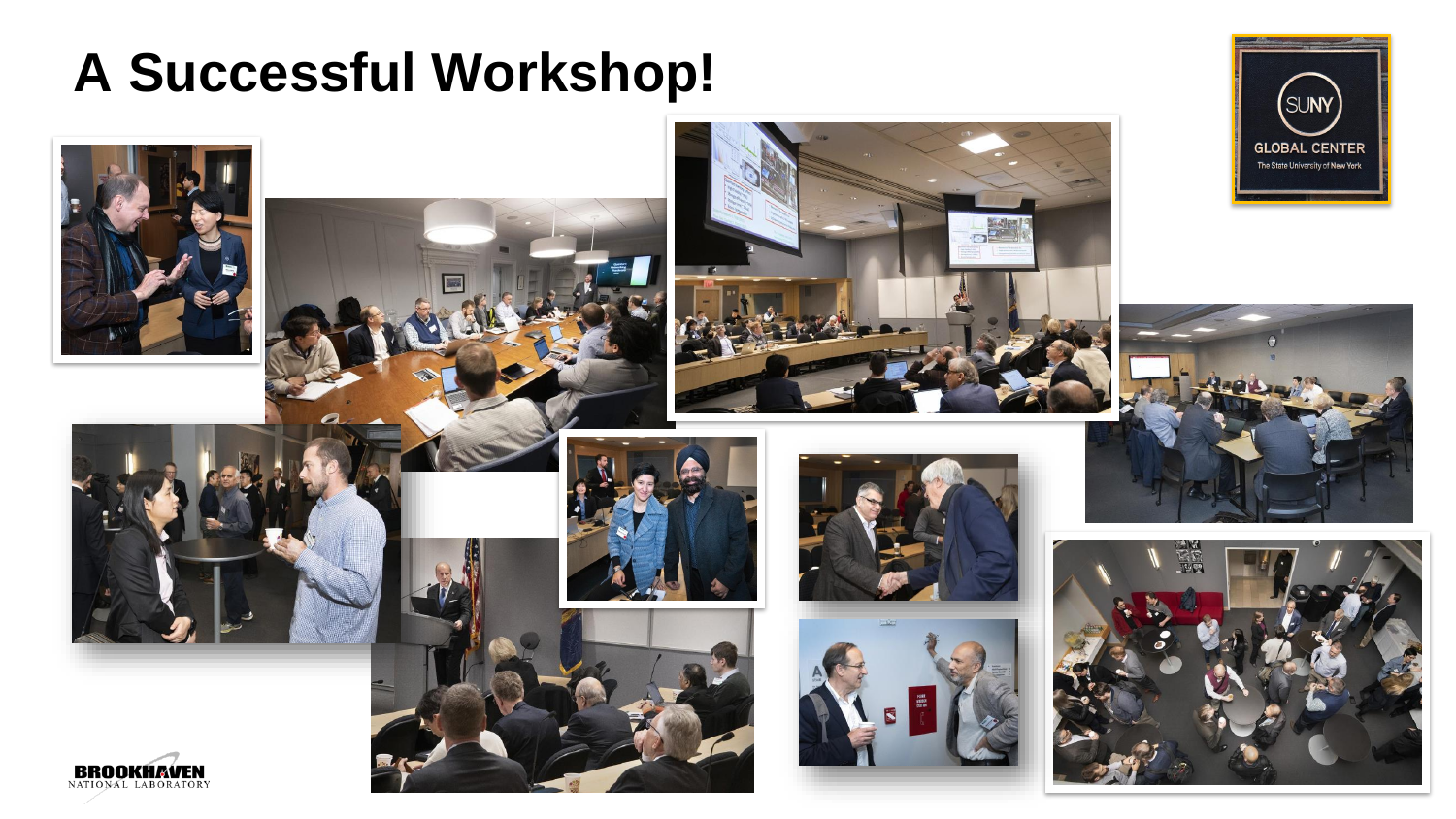#### **A Successful Workshop!**

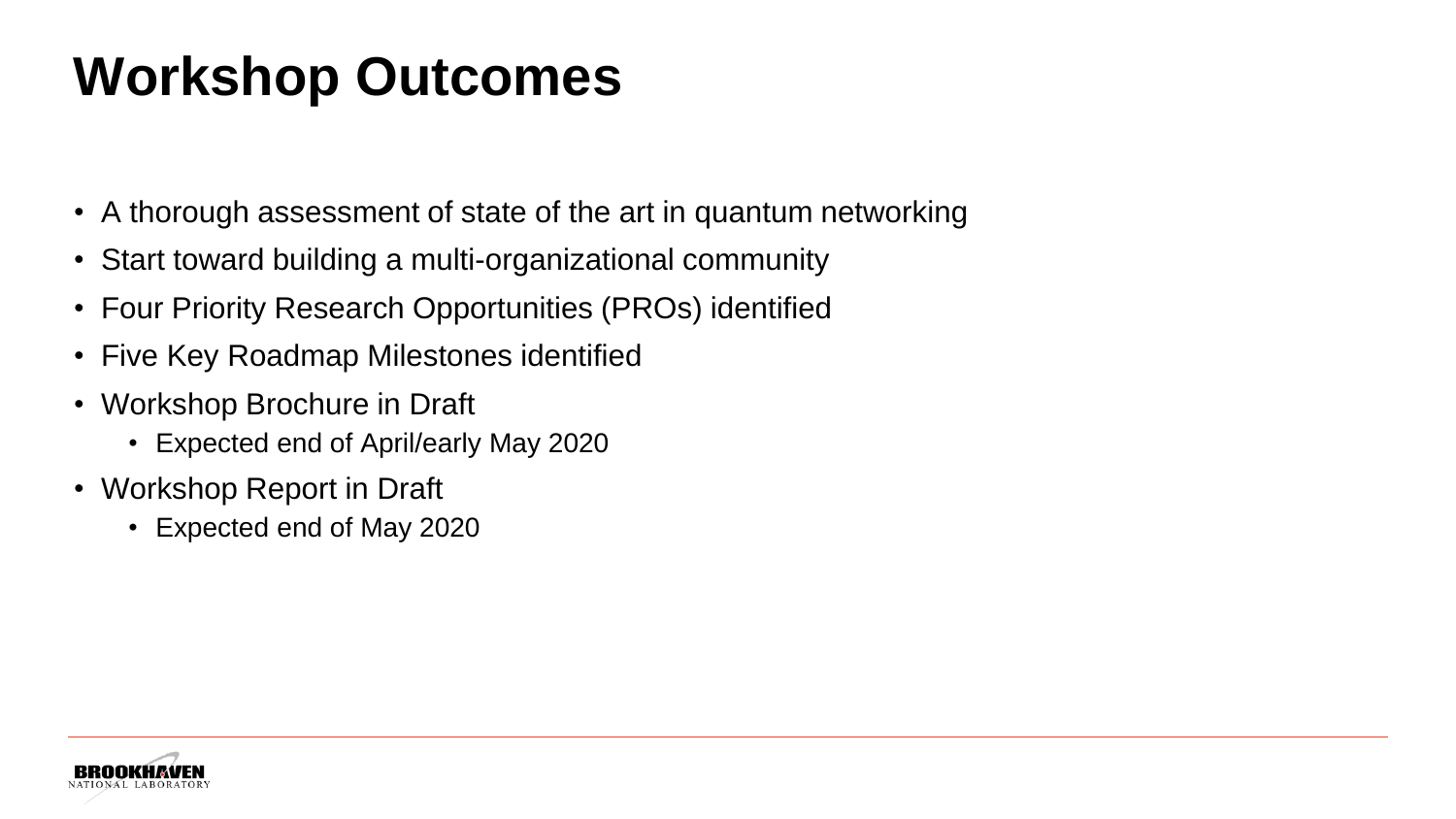### **Workshop Outcomes**

- A thorough assessment of state of the art in quantum networking
- Start toward building a multi-organizational community
- Four Priority Research Opportunities (PROs) identified
- Five Key Roadmap Milestones identified
- Workshop Brochure in Draft
	- Expected end of April/early May 2020
- Workshop Report in Draft
	- Expected end of May 2020

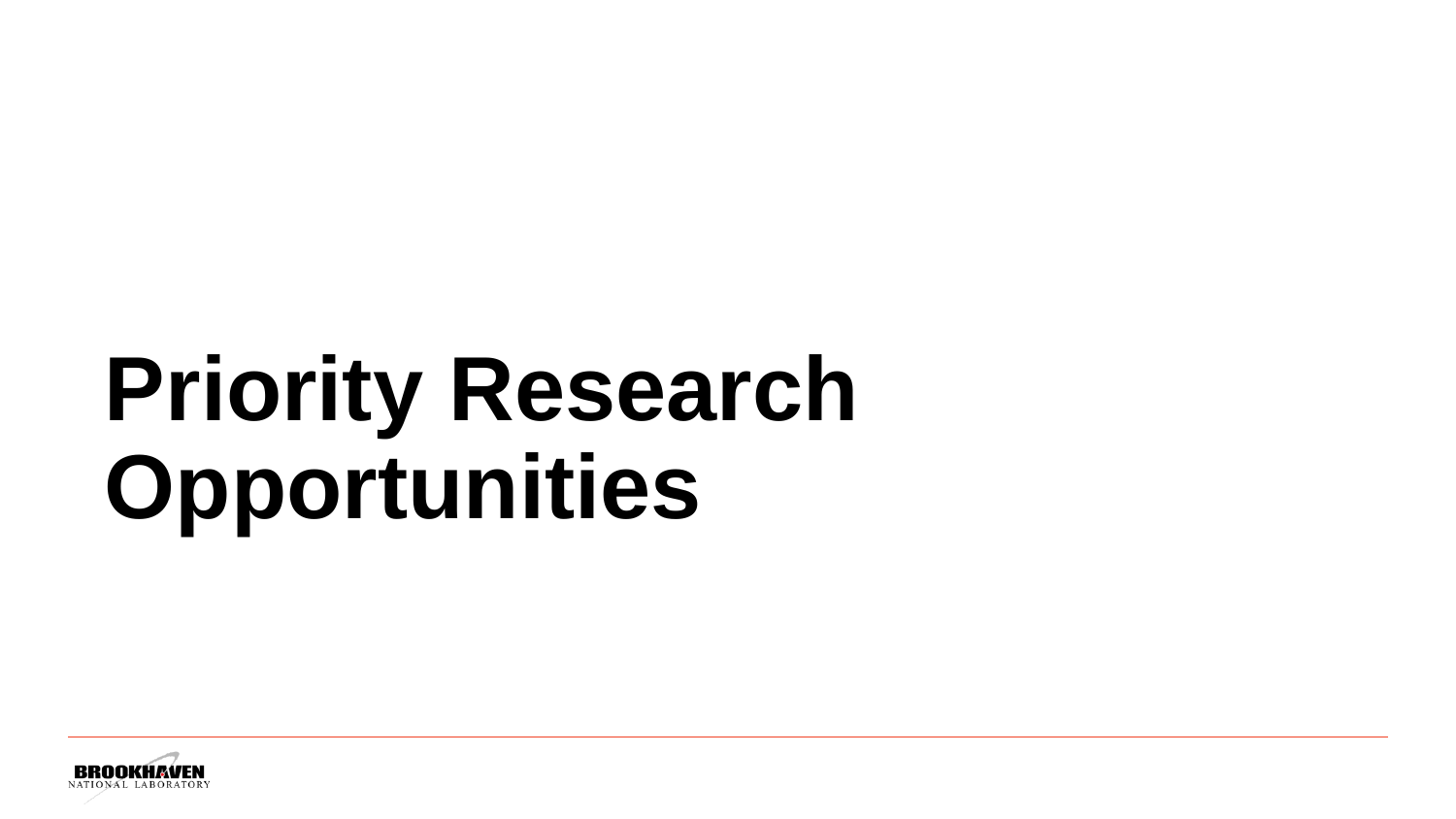# **Priority Research Opportunities**

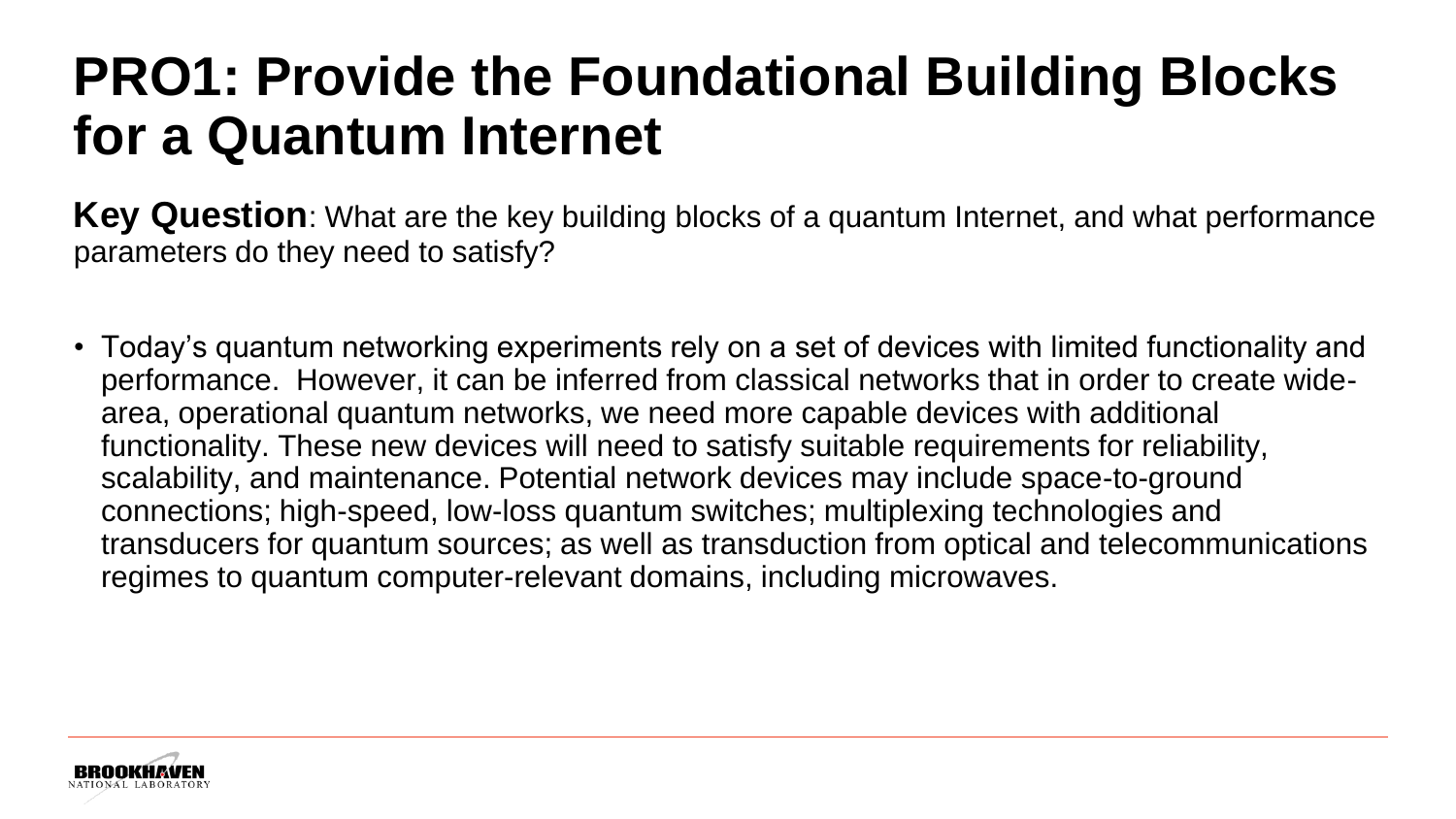#### **PRO1: Provide the Foundational Building Blocks for a Quantum Internet**

**Key Question**: What are the key building blocks of a quantum Internet, and what performance parameters do they need to satisfy?

• Today's quantum networking experiments rely on a set of devices with limited functionality and performance. However, it can be inferred from classical networks that in order to create widearea, operational quantum networks, we need more capable devices with additional functionality. These new devices will need to satisfy suitable requirements for reliability, scalability, and maintenance. Potential network devices may include space-to-ground connections; high-speed, low-loss quantum switches; multiplexing technologies and transducers for quantum sources; as well as transduction from optical and telecommunications regimes to quantum computer-relevant domains, including microwaves.

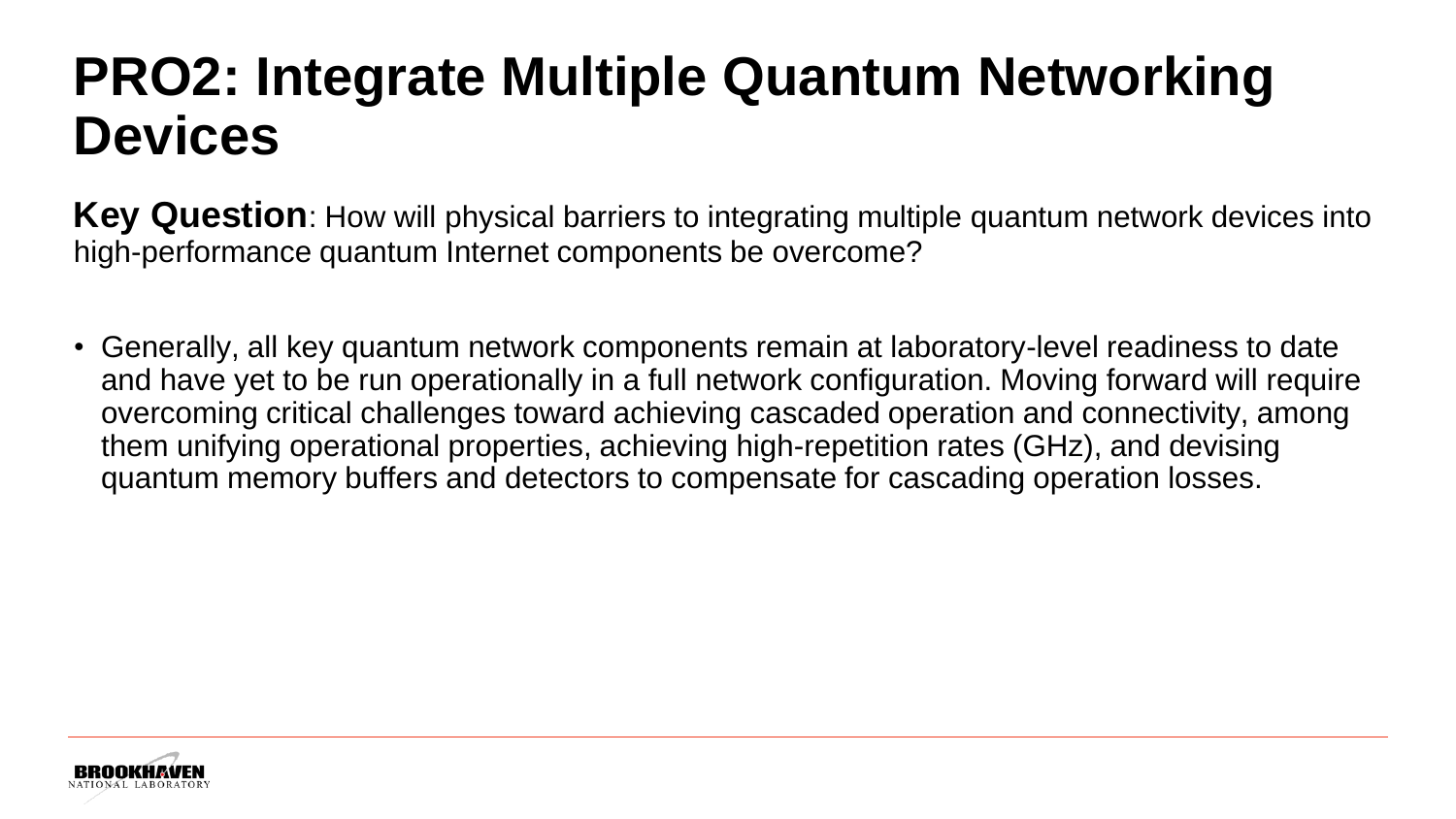### **PRO2: Integrate Multiple Quantum Networking Devices**

**Key Question**: How will physical barriers to integrating multiple quantum network devices into high-performance quantum Internet components be overcome?

• Generally, all key quantum network components remain at laboratory-level readiness to date and have yet to be run operationally in a full network configuration. Moving forward will require overcoming critical challenges toward achieving cascaded operation and connectivity, among them unifying operational properties, achieving high-repetition rates (GHz), and devising quantum memory buffers and detectors to compensate for cascading operation losses.

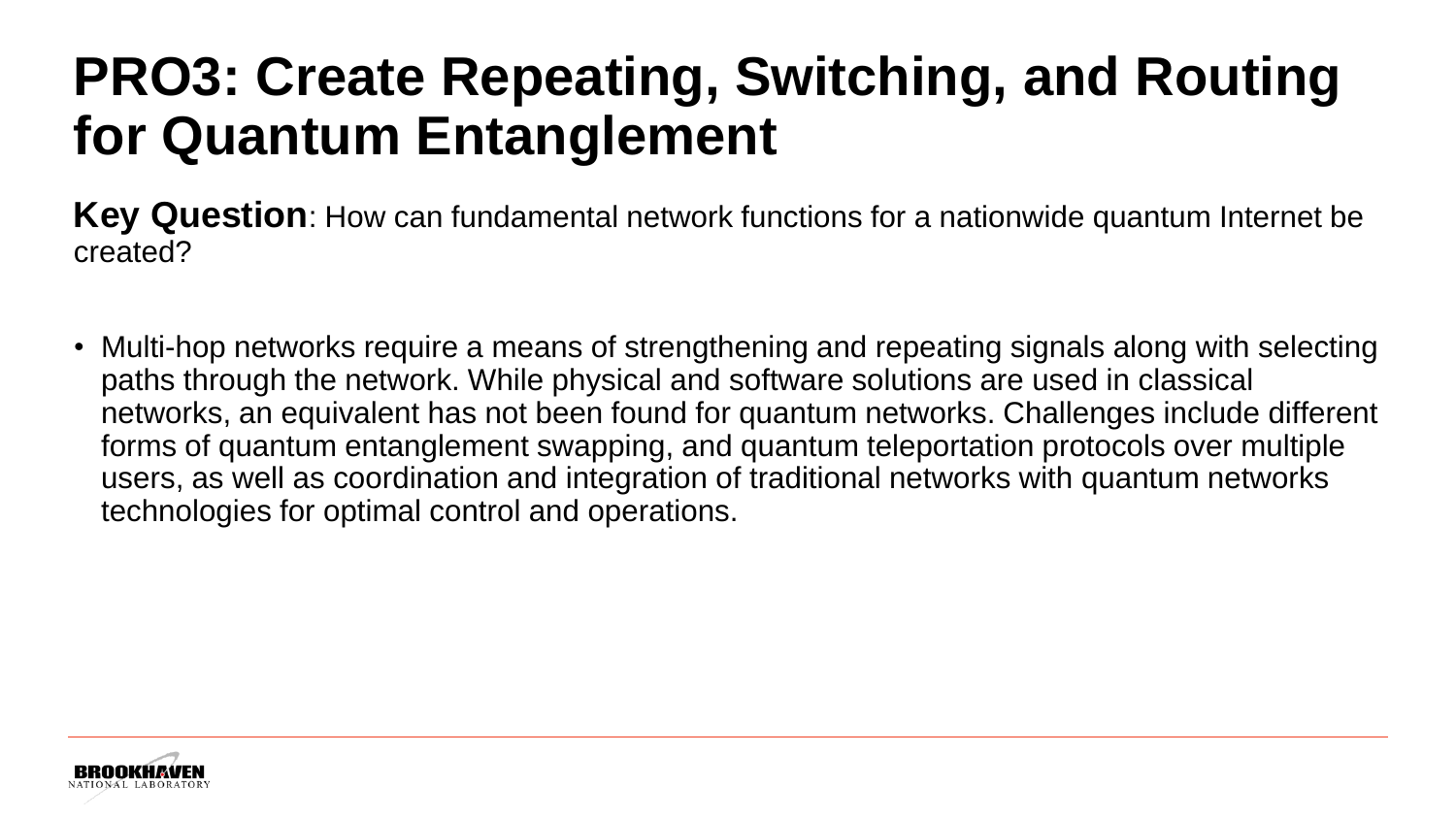### **PRO3: Create Repeating, Switching, and Routing for Quantum Entanglement**

**Key Question**: How can fundamental network functions for a nationwide quantum Internet be created?

• Multi-hop networks require a means of strengthening and repeating signals along with selecting paths through the network. While physical and software solutions are used in classical networks, an equivalent has not been found for quantum networks. Challenges include different forms of quantum entanglement swapping, and quantum teleportation protocols over multiple users, as well as coordination and integration of traditional networks with quantum networks technologies for optimal control and operations.

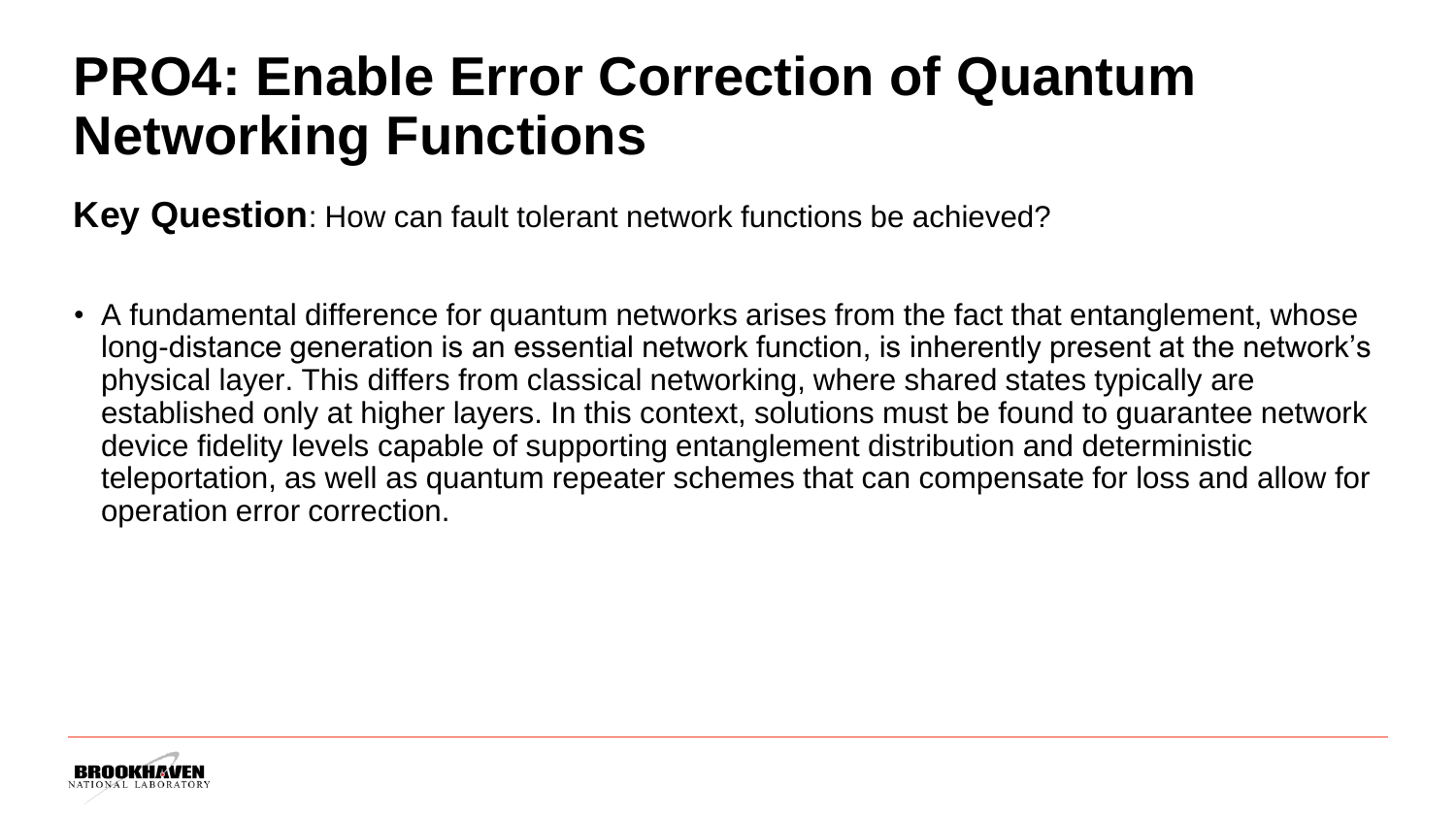### **PRO4: Enable Error Correction of Quantum Networking Functions**

**Key Question**: How can fault tolerant network functions be achieved?

• A fundamental difference for quantum networks arises from the fact that entanglement, whose long-distance generation is an essential network function, is inherently present at the network's physical layer. This differs from classical networking, where shared states typically are established only at higher layers. In this context, solutions must be found to guarantee network device fidelity levels capable of supporting entanglement distribution and deterministic teleportation, as well as quantum repeater schemes that can compensate for loss and allow for operation error correction.

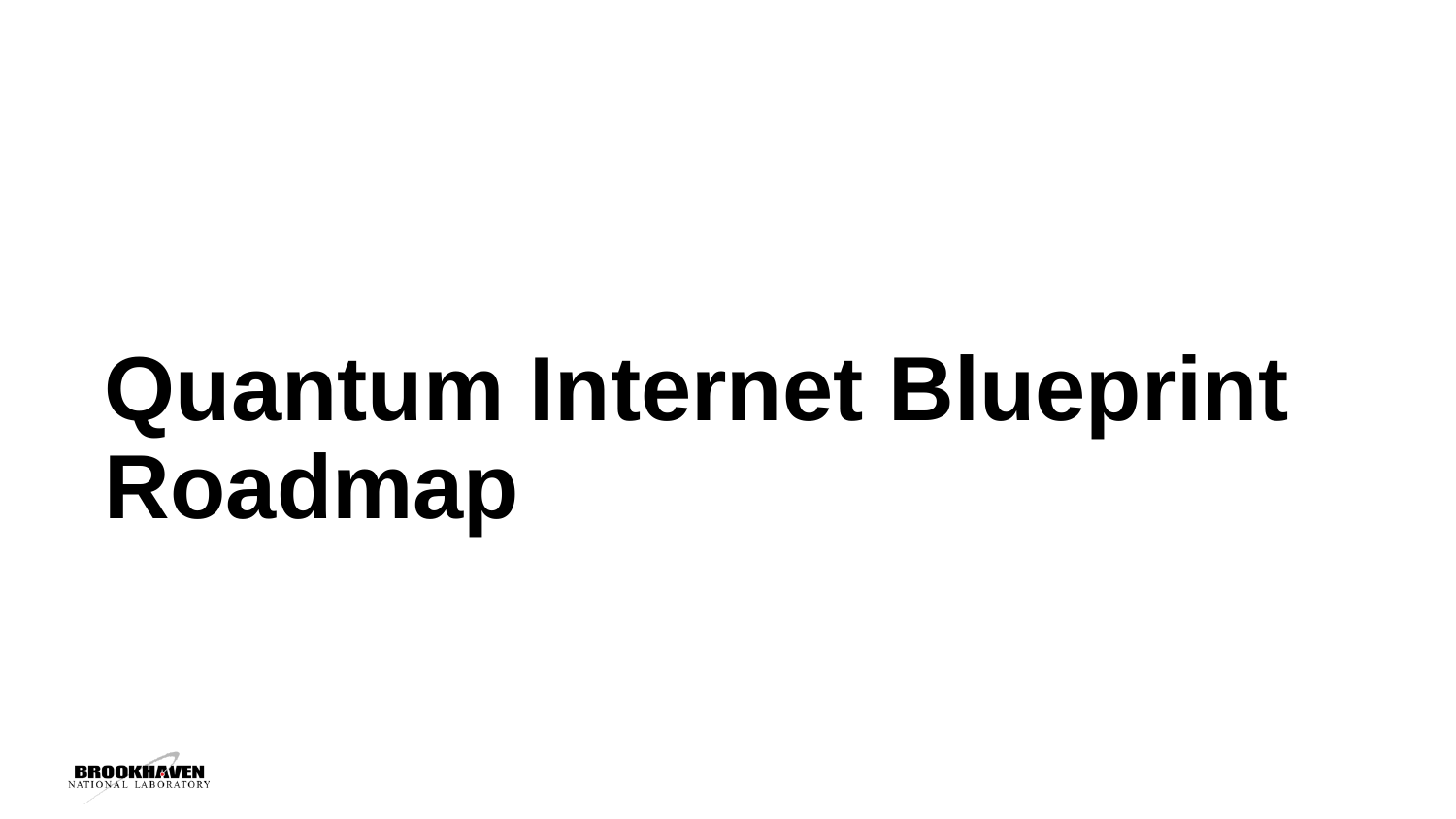# **Quantum Internet Blueprint Roadmap**

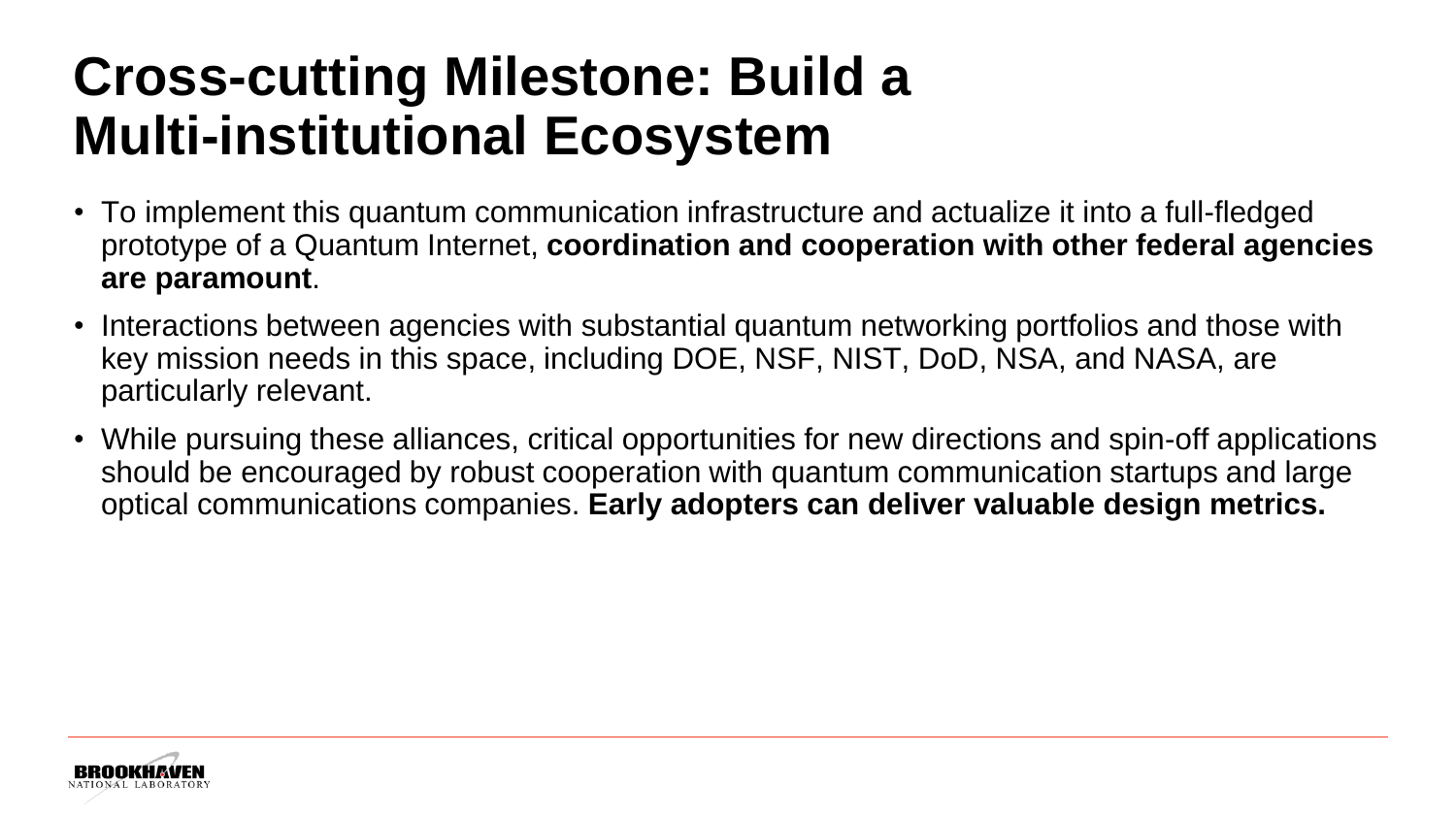### **Cross-cutting Milestone: Build a Multi-institutional Ecosystem**

- To implement this quantum communication infrastructure and actualize it into a full-fledged prototype of a Quantum Internet, **coordination and cooperation with other federal agencies are paramount**.
- Interactions between agencies with substantial quantum networking portfolios and those with key mission needs in this space, including DOE, NSF, NIST, DoD, NSA, and NASA, are particularly relevant.
- While pursuing these alliances, critical opportunities for new directions and spin-off applications should be encouraged by robust cooperation with quantum communication startups and large optical communications companies. **Early adopters can deliver valuable design metrics.**

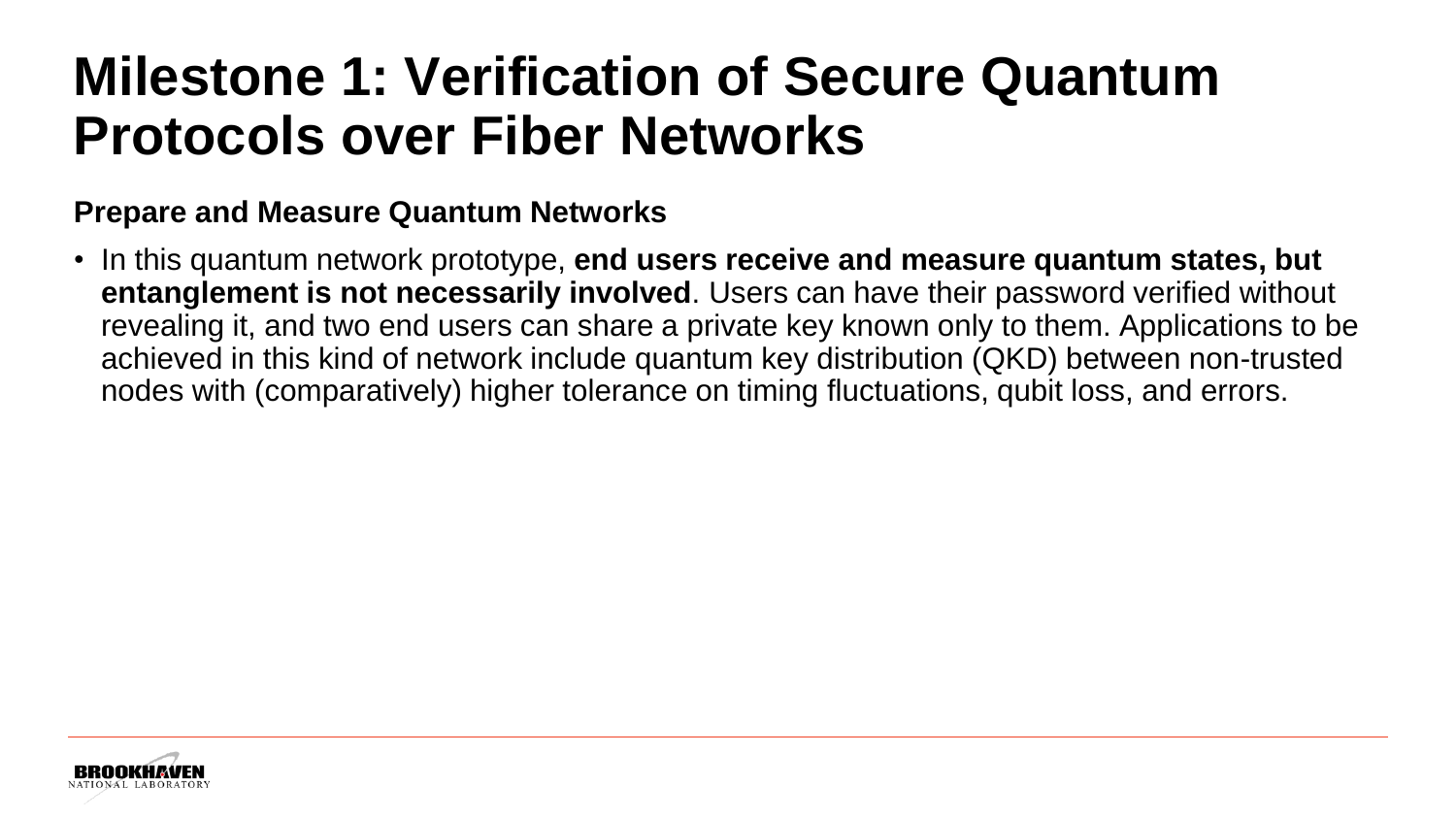#### **Milestone 1: Verification of Secure Quantum Protocols over Fiber Networks**

#### **Prepare and Measure Quantum Networks**

• In this quantum network prototype, **end users receive and measure quantum states, but entanglement is not necessarily involved**. Users can have their password verified without revealing it, and two end users can share a private key known only to them. Applications to be achieved in this kind of network include quantum key distribution (QKD) between non-trusted nodes with (comparatively) higher tolerance on timing fluctuations, qubit loss, and errors.

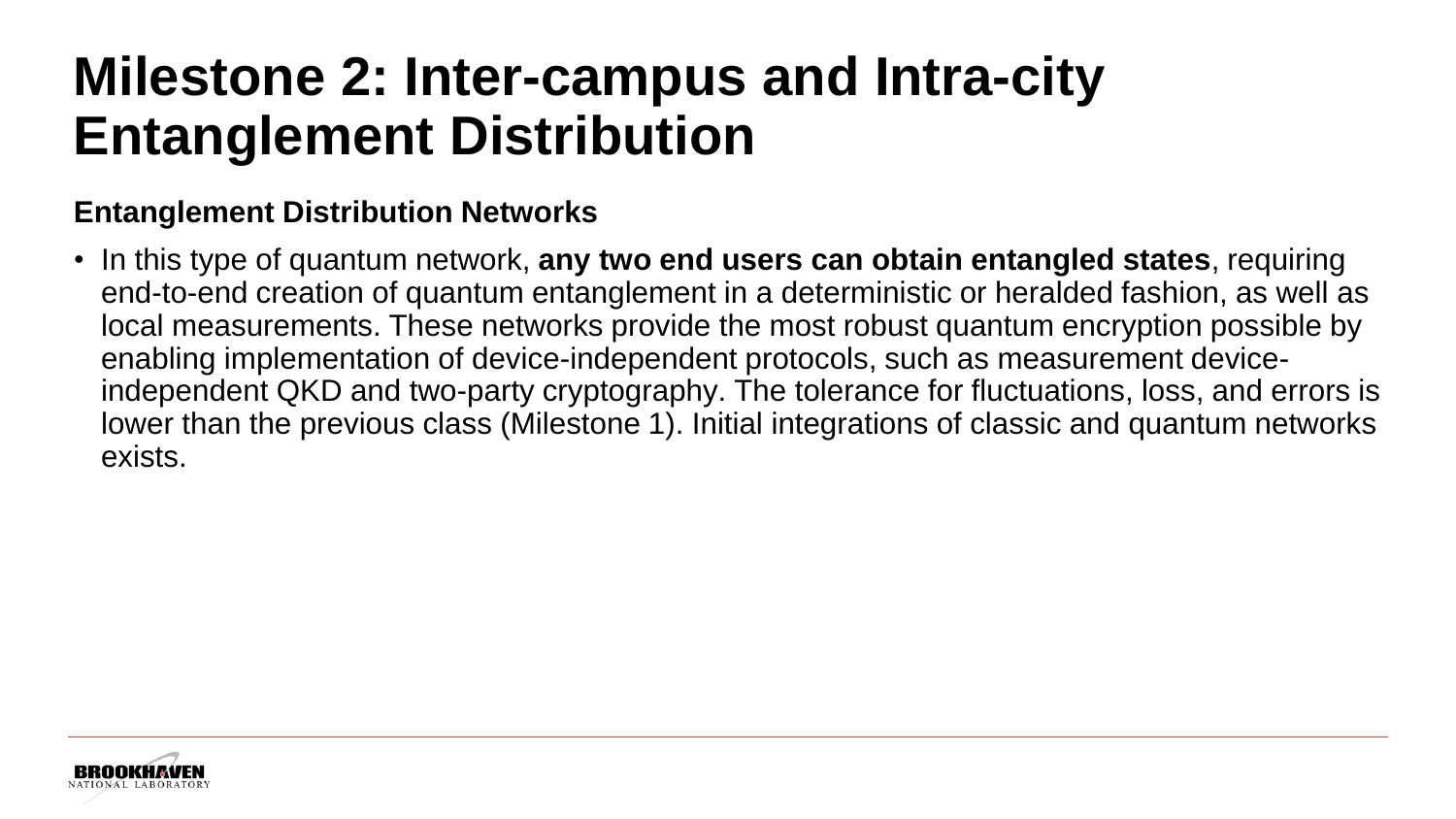#### **Milestone 2: Inter-campus and Intra-city Entanglement Distribution**

#### **Entanglement Distribution Networks**

• In this type of quantum network, **any two end users can obtain entangled states**, requiring end-to-end creation of quantum entanglement in a deterministic or heralded fashion, as well as local measurements. These networks provide the most robust quantum encryption possible by enabling implementation of device-independent protocols, such as measurement deviceindependent QKD and two-party cryptography. The tolerance for fluctuations, loss, and errors is lower than the previous class (Milestone 1). Initial integrations of classic and quantum networks exists.

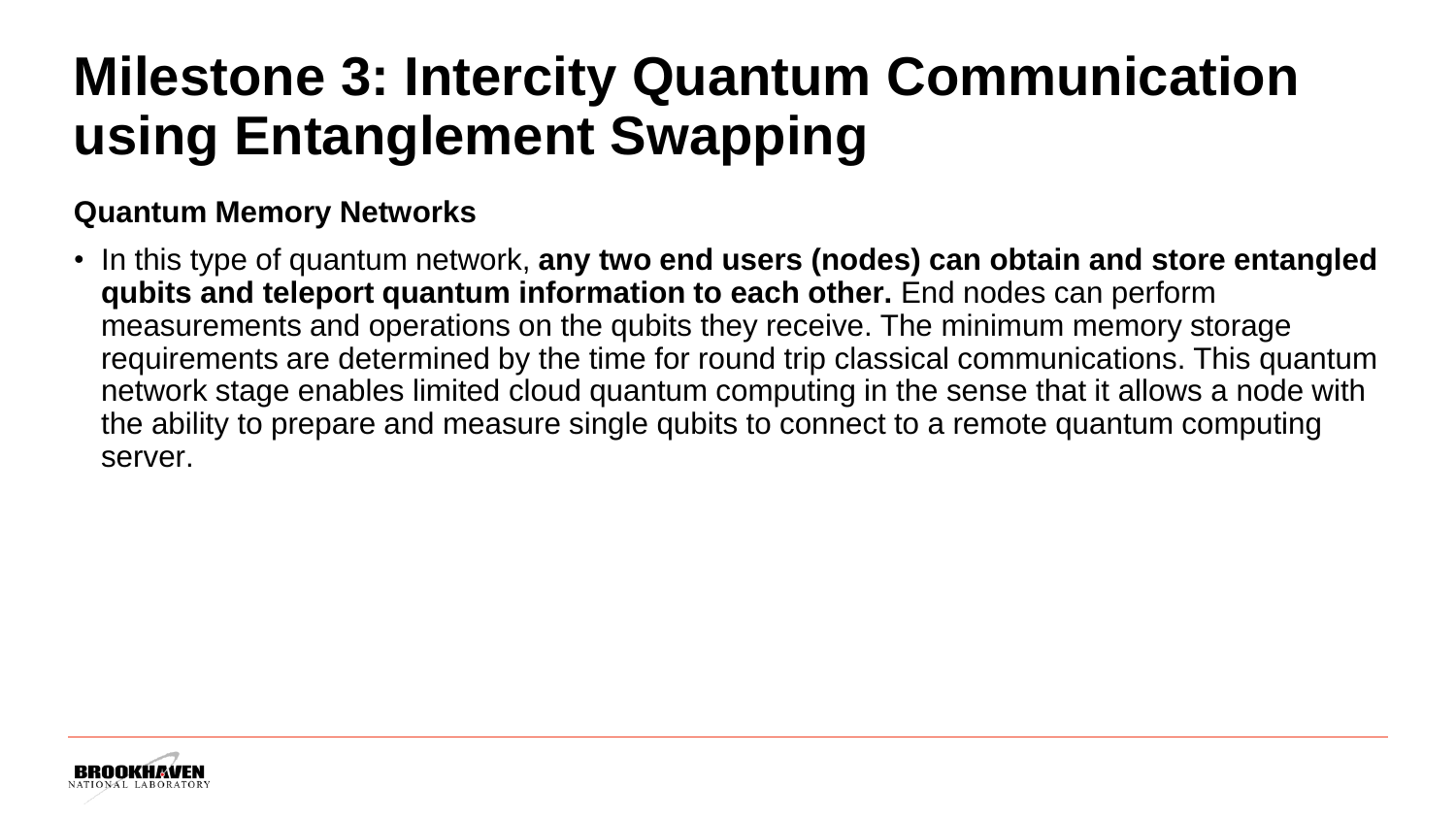## **Milestone 3: Intercity Quantum Communication using Entanglement Swapping**

#### **Quantum Memory Networks**

• In this type of quantum network, **any two end users (nodes) can obtain and store entangled qubits and teleport quantum information to each other.** End nodes can perform measurements and operations on the qubits they receive. The minimum memory storage requirements are determined by the time for round trip classical communications. This quantum network stage enables limited cloud quantum computing in the sense that it allows a node with the ability to prepare and measure single qubits to connect to a remote quantum computing server.